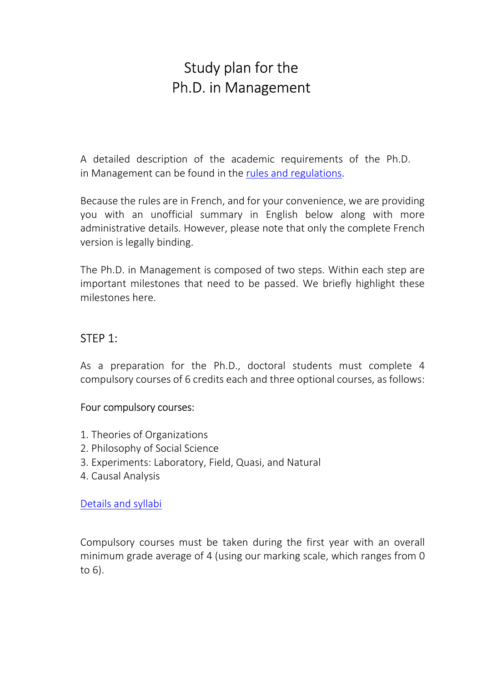# Study plan for the Ph.D. in Management

A detailed description of the academic requirements of the Ph.D. in Management can be found in the [rules and regulations.](https://www.unil.ch/files/live/sites/hec-phd/files/regulations/Directive%20pour%20le%20Doctorat%20en%20management%20(21.09.2021).pdf)

Because the rules are in French, and for your convenience, we are providing you with an unofficial summary in English below along with more administrative details. However, please note that only the complete French version is legally binding.

The Ph.D. in Management is composed of two steps. Within each step are important milestones that need to be passed. We briefly highlight these milestones here.

# STEP 1:

As a preparation for the Ph.D., doctoral students must complete 4 compulsory courses of 6 credits each and three optional courses, as follows:

#### Four compulsory courses:

- 1. Theories of Organizations
- 2. Philosophy of Social Science
- 3. Experiments: Laboratory, Field, Quasi, and Natural
- 4. Causal Analysis

[Details and syllabi](https://www.unil.ch/hec-phd/home/menuinst/programs/phd-in-management/schedule-of-courses.html)

Compulsory courses must be taken during the first year with an overall minimum grade average of 4 (using our marking scale, which ranges from 0 to 6).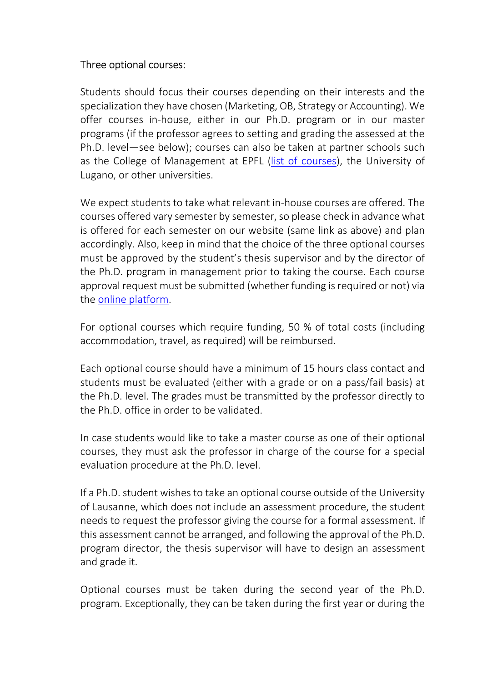## Three optional courses:

Students should focus their courses depending on their interests and the specialization they have chosen (Marketing, OB, Strategy or Accounting). We offer courses in-house, either in our Ph.D. program or in our master programs (if the professor agrees to setting and grading the assessed at the Ph.D. level—see below); courses can also be taken at partner schools such as the College of Management at EPFL ([list of courses\)](https://www.epfl.ch/education/phd/doctoral-studies-structure/doctoral-courses/), the University of Lugano, or other universities.

We expect students to take what relevant in-house courses are offered. The courses offered vary semester by semester, so please check in advance what is offered for each semester on our website (same link as above) and plan accordingly. Also, keep in mind that the choice of the three optional courses must be approved by the student's thesis supervisor and by the director of the Ph.D. program in management prior to taking the course. Each course approval request must be submitted (whether funding is required or not) via the [online platform.](https://www.hec.unil.ch/research)

For optional courses which require funding, 50 % of total costs (including accommodation, travel, as required) will be reimbursed.

Each optional course should have a minimum of 15 hours class contact and students must be evaluated (either with a grade or on a pass/fail basis) at the Ph.D. level. The grades must be transmitted by the professor directly to the Ph.D. office in order to be validated.

In case students would like to take a master course as one of their optional courses, they must ask the professor in charge of the course for a special evaluation procedure at the Ph.D. level.

If a Ph.D. student wishes to take an optional course outside of the University of Lausanne, which does not include an assessment procedure, the student needs to request the professor giving the course for a formal assessment. If this assessment cannot be arranged, and following the approval of the Ph.D. program director, the thesis supervisor will have to design an assessment and grade it.

Optional courses must be taken during the second year of the Ph.D. program. Exceptionally, they can be taken during the first year or during the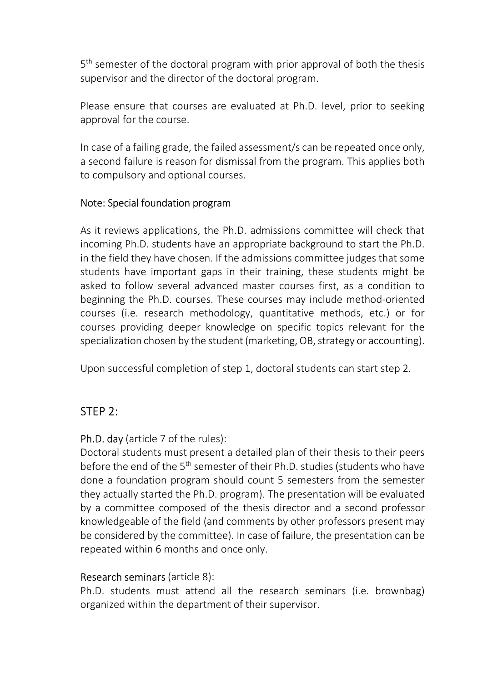5<sup>th</sup> semester of the doctoral program with prior approval of both the thesis supervisor and the director of the doctoral program.

Please ensure that courses are evaluated at Ph.D. level, prior to seeking approval for the course.

In case of a failing grade, the failed assessment/s can be repeated once only, a second failure is reason for dismissal from the program. This applies both to compulsory and optional courses.

### Note: Special foundation program

As it reviews applications, the Ph.D. admissions committee will check that incoming Ph.D. students have an appropriate background to start the Ph.D. in the field they have chosen. If the admissions committee judges that some students have important gaps in their training, these students might be asked to follow several advanced master courses first, as a condition to beginning the Ph.D. courses. These courses may include method-oriented courses (i.e. research methodology, quantitative methods, etc.) or for courses providing deeper knowledge on specific topics relevant for the specialization chosen by the student (marketing, OB, strategy or accounting).

Upon successful completion of step 1, doctoral students can start step 2.

# STEP 2:

# Ph.D. day (article 7 of the rules):

Doctoral students must present a detailed plan of their thesis to their peers before the end of the 5<sup>th</sup> semester of their Ph.D. studies (students who have done a foundation program should count 5 semesters from the semester they actually started the Ph.D. program). The presentation will be evaluated by a committee composed of the thesis director and a second professor knowledgeable of the field (and comments by other professors present may be considered by the committee). In case of failure, the presentation can be repeated within 6 months and once only.

# Research seminars (article 8):

Ph.D. students must attend all the research seminars (i.e. brownbag) organized within the department of their supervisor.